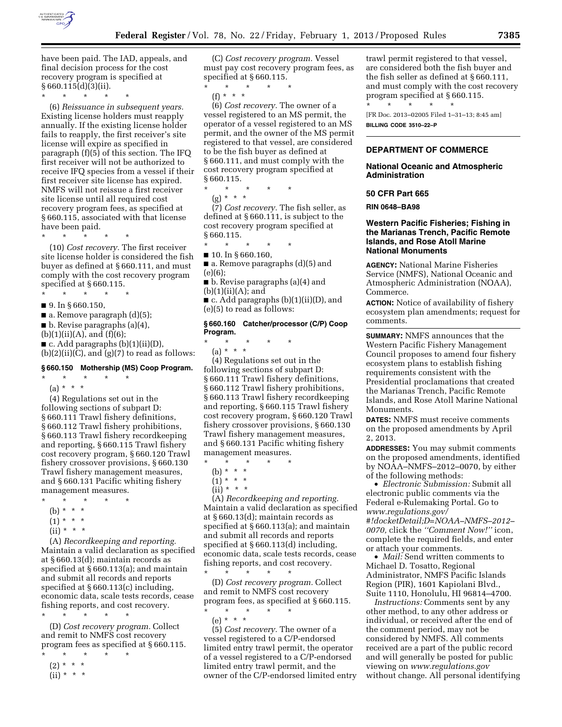

have been paid. The IAD, appeals, and final decision process for the cost recovery program is specified at § 660.115(d)(3)(ii).

\* \* \* \* \*

(6) *Reissuance in subsequent years.*  Existing license holders must reapply annually. If the existing license holder fails to reapply, the first receiver's site license will expire as specified in paragraph (f)(5) of this section. The IFQ first receiver will not be authorized to receive IFQ species from a vessel if their first receiver site license has expired. NMFS will not reissue a first receiver site license until all required cost recovery program fees, as specified at § 660.115, associated with that license have been paid.

\* \* \* \* \* (10) *Cost recovery.* The first receiver site license holder is considered the fish buyer as defined at § 660.111, and must comply with the cost recovery program

specified at § 660.115. \* \* \* \* \*

■ 9. In § 660.150,

 $\blacksquare$  a. Remove paragraph  $(d)(5)$ ;

 $\blacksquare$  b. Revise paragraphs (a)(4),

 $(b)(1)(ii)(A)$ , and  $(f)(6)$ ;

 $\blacksquare$  c. Add paragraphs (b)(1)(ii)(D),

 $(b)(2)(ii)(C)$ , and  $(g)(7)$  to read as follows:

# **§ 660.150 Mothership (MS) Coop Program.**

 $\star$   $\star$   $\star$ (a) \* \* \*

(4) Regulations set out in the following sections of subpart D: § 660.111 Trawl fishery definitions, § 660.112 Trawl fishery prohibitions, § 660.113 Trawl fishery recordkeeping and reporting, § 660.115 Trawl fishery cost recovery program, § 660.120 Trawl fishery crossover provisions, § 660.130 Trawl fishery management measures, and § 660.131 Pacific whiting fishery management measures.

- \* \* \* \* \*
- (b) \* \* \*
- $(1) * * * *$
- $(ii) * * * *$

(A) *Recordkeeping and reporting.*  Maintain a valid declaration as specified at § 660.13(d); maintain records as specified at § 660.113(a); and maintain and submit all records and reports specified at § 660.113(c) including, economic data, scale tests records, cease fishing reports, and cost recovery. \* \* \* \* \*

(D) *Cost recovery program.* Collect and remit to NMFS cost recovery program fees as specified at § 660.115.

- $\star$   $\qquad$   $\star$   $\qquad$   $\star$
- $(2) * * * *$  $(ii) * * * *$

(C) *Cost recovery program.* Vessel must pay cost recovery program fees, as specified at § 660.115.

\* \* \* \* \*

(f) \* \* \*

(6) *Cost recovery.* The owner of a vessel registered to an MS permit, the operator of a vessel registered to an MS permit, and the owner of the MS permit registered to that vessel, are considered to be the fish buyer as defined at § 660.111, and must comply with the cost recovery program specified at § 660.115.

\* \* \* \* \*

(7) *Cost recovery.* The fish seller, as defined at § 660.111, is subject to the

(e)(6);

■ b. Revise paragraphs (a)(4) and  $(b)(1)(ii)(A);$  and

■ c. Add paragraphs (b)(1)(ii)(D), and (e)(5) to read as follows:

#### **§ 660.160 Catcher/processor (C/P) Coop Program.**

\* \* \* \* \* (a) \* \* \*

(4) Regulations set out in the following sections of subpart D: § 660.111 Trawl fishery definitions, § 660.112 Trawl fishery prohibitions, § 660.113 Trawl fishery recordkeeping and reporting, § 660.115 Trawl fishery cost recovery program, § 660.120 Trawl fishery crossover provisions, § 660.130 Trawl fishery management measures, and § 660.131 Pacific whiting fishery management measures.

\* \* \* \* \*

- (b) \* \* \* \*
- $(1) * * * *$
- $(ii) * * * *$

(A) *Recordkeeping and reporting.*  Maintain a valid declaration as specified at § 660.13(d); maintain records as specified at § 660.113(a); and maintain and submit all records and reports specified at § 660.113(d) including, economic data, scale tests records, cease fishing reports, and cost recovery.

\* \* \* \* \* (D) *Cost recovery program.* Collect and remit to NMFS cost recovery program fees, as specified at § 660.115.

\* \* \* \* \* (e) \* \* \*

(5) *Cost recovery.* The owner of a vessel registered to a C/P-endorsed limited entry trawl permit, the operator of a vessel registered to a C/P-endorsed limited entry trawl permit, and the owner of the C/P-endorsed limited entry

trawl permit registered to that vessel, are considered both the fish buyer and the fish seller as defined at § 660.111, and must comply with the cost recovery program specified at § 660.115. \* \* \* \* \*

[FR Doc. 2013–02005 Filed 1–31–13; 8:45 am] **BILLING CODE 3510–22–P** 

# **DEPARTMENT OF COMMERCE**

### **National Oceanic and Atmospheric Administration**

#### **50 CFR Part 665**

**RIN 0648–BA98** 

# **Western Pacific Fisheries; Fishing in the Marianas Trench, Pacific Remote Islands, and Rose Atoll Marine National Monuments**

**AGENCY:** National Marine Fisheries Service (NMFS), National Oceanic and Atmospheric Administration (NOAA), Commerce.

**ACTION:** Notice of availability of fishery ecosystem plan amendments; request for comments.

**SUMMARY:** NMFS announces that the Western Pacific Fishery Management Council proposes to amend four fishery ecosystem plans to establish fishing requirements consistent with the Presidential proclamations that created the Marianas Trench, Pacific Remote Islands, and Rose Atoll Marine National Monuments.

**DATES:** NMFS must receive comments on the proposed amendments by April 2, 2013.

**ADDRESSES:** You may submit comments on the proposed amendments, identified by NOAA–NMFS–2012–0070, by either of the following methods:

• *Electronic Submission:* Submit all electronic public comments via the Federal e-Rulemaking Portal. Go to *[www.regulations.gov/](http://www.regulations.gov/#!docketDetail;D=NOAA-NMFS-2012-0070) [#!docketDetail;D=NOAA–NMFS–2012–](http://www.regulations.gov/#!docketDetail;D=NOAA-NMFS-2012-0070)  [0070,](http://www.regulations.gov/#!docketDetail;D=NOAA-NMFS-2012-0070)* click the *''Comment Now!''* icon, complete the required fields, and enter or attach your comments.

• *Mail:* Send written comments to Michael D. Tosatto, Regional Administrator, NMFS Pacific Islands Region (PIR), 1601 Kapiolani Blvd., Suite 1110, Honolulu, HI 96814–4700.

*Instructions:* Comments sent by any other method, to any other address or individual, or received after the end of the comment period, may not be considered by NMFS. All comments received are a part of the public record and will generally be posted for public viewing on *[www.regulations.gov](http://www.regulations.gov)*  without change. All personal identifying

(g) \* \* \*

cost recovery program specified at § 660.115.

- \* \* \* \* \*
- 10. In § 660.160,

■ a. Remove paragraphs (d)(5) and